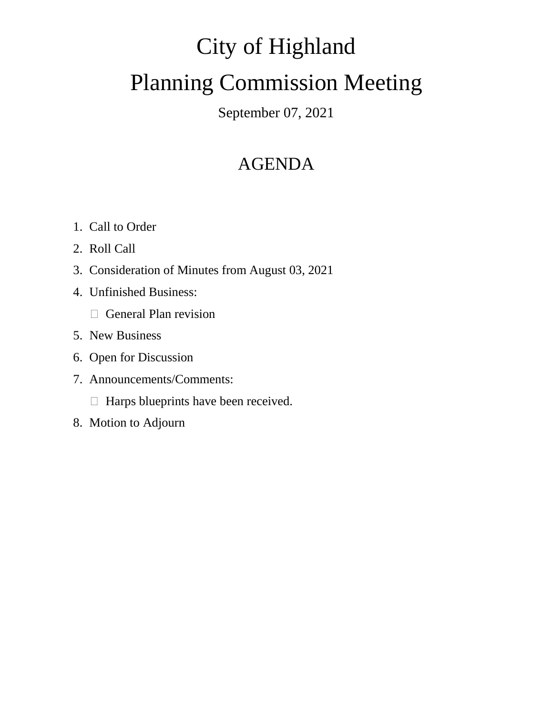# City of Highland Planning Commission Meeting

### September 07, 2021

## AGENDA

- 1. Call to Order
- 2. Roll Call
- 3. Consideration of Minutes from August 03, 2021
- 4. Unfinished Business:
	- General Plan revision
- 5. New Business
- 6. Open for Discussion
- 7. Announcements/Comments:
	- $\Box$  Harps blueprints have been received.
- 8. Motion to Adjourn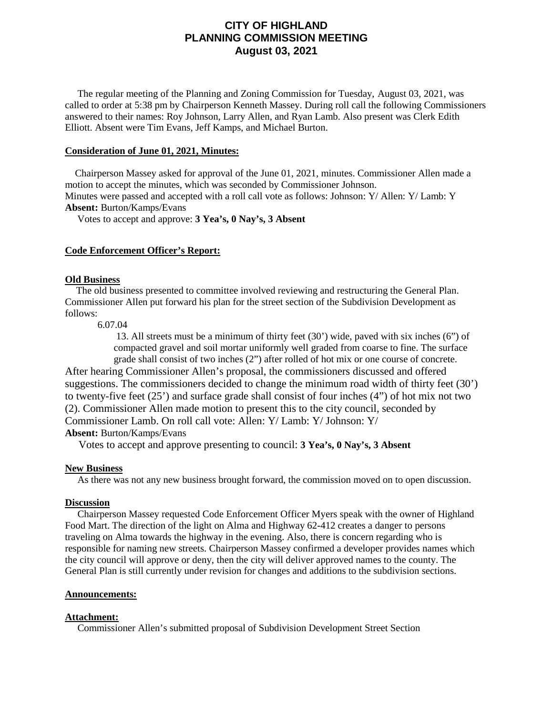#### **CITY OF HIGHLAND PLANNING COMMISSION MEETING August 03, 2021**

 The regular meeting of the Planning and Zoning Commission for Tuesday, August 03, 2021, was called to order at 5:38 pm by Chairperson Kenneth Massey. During roll call the following Commissioners answered to their names: Roy Johnson, Larry Allen, and Ryan Lamb. Also present was Clerk Edith Elliott. Absent were Tim Evans, Jeff Kamps, and Michael Burton.

#### **Consideration of June 01, 2021, Minutes:**

 Chairperson Massey asked for approval of the June 01, 2021, minutes. Commissioner Allen made a motion to accept the minutes, which was seconded by Commissioner Johnson. Minutes were passed and accepted with a roll call vote as follows: Johnson: Y/ Allen: Y/ Lamb: Y

**Absent:** Burton/Kamps/Evans

Votes to accept and approve: **3 Yea's, 0 Nay's, 3 Absent**

#### **Code Enforcement Officer's Report:**

#### **Old Business**

 The old business presented to committee involved reviewing and restructuring the General Plan. Commissioner Allen put forward his plan for the street section of the Subdivision Development as follows:

6.07.04

13. All streets must be a minimum of thirty feet (30') wide, paved with six inches (6") of compacted gravel and soil mortar uniformly well graded from coarse to fine. The surface grade shall consist of two inches (2") after rolled of hot mix or one course of concrete.

After hearing Commissioner Allen's proposal, the commissioners discussed and offered suggestions. The commissioners decided to change the minimum road width of thirty feet (30') to twenty-five feet (25') and surface grade shall consist of four inches (4") of hot mix not two (2). Commissioner Allen made motion to present this to the city council, seconded by Commissioner Lamb. On roll call vote: Allen: Y/ Lamb: Y/ Johnson: Y/ **Absent:** Burton/Kamps/Evans

Votes to accept and approve presenting to council: **3 Yea's, 0 Nay's, 3 Absent**

#### **New Business**

As there was not any new business brought forward, the commission moved on to open discussion.

#### **Discussion**

 Chairperson Massey requested Code Enforcement Officer Myers speak with the owner of Highland Food Mart. The direction of the light on Alma and Highway 62-412 creates a danger to persons traveling on Alma towards the highway in the evening. Also, there is concern regarding who is responsible for naming new streets. Chairperson Massey confirmed a developer provides names which the city council will approve or deny, then the city will deliver approved names to the county. The General Plan is still currently under revision for changes and additions to the subdivision sections.

#### **Announcements:**

#### **Attachment:**

Commissioner Allen's submitted proposal of Subdivision Development Street Section